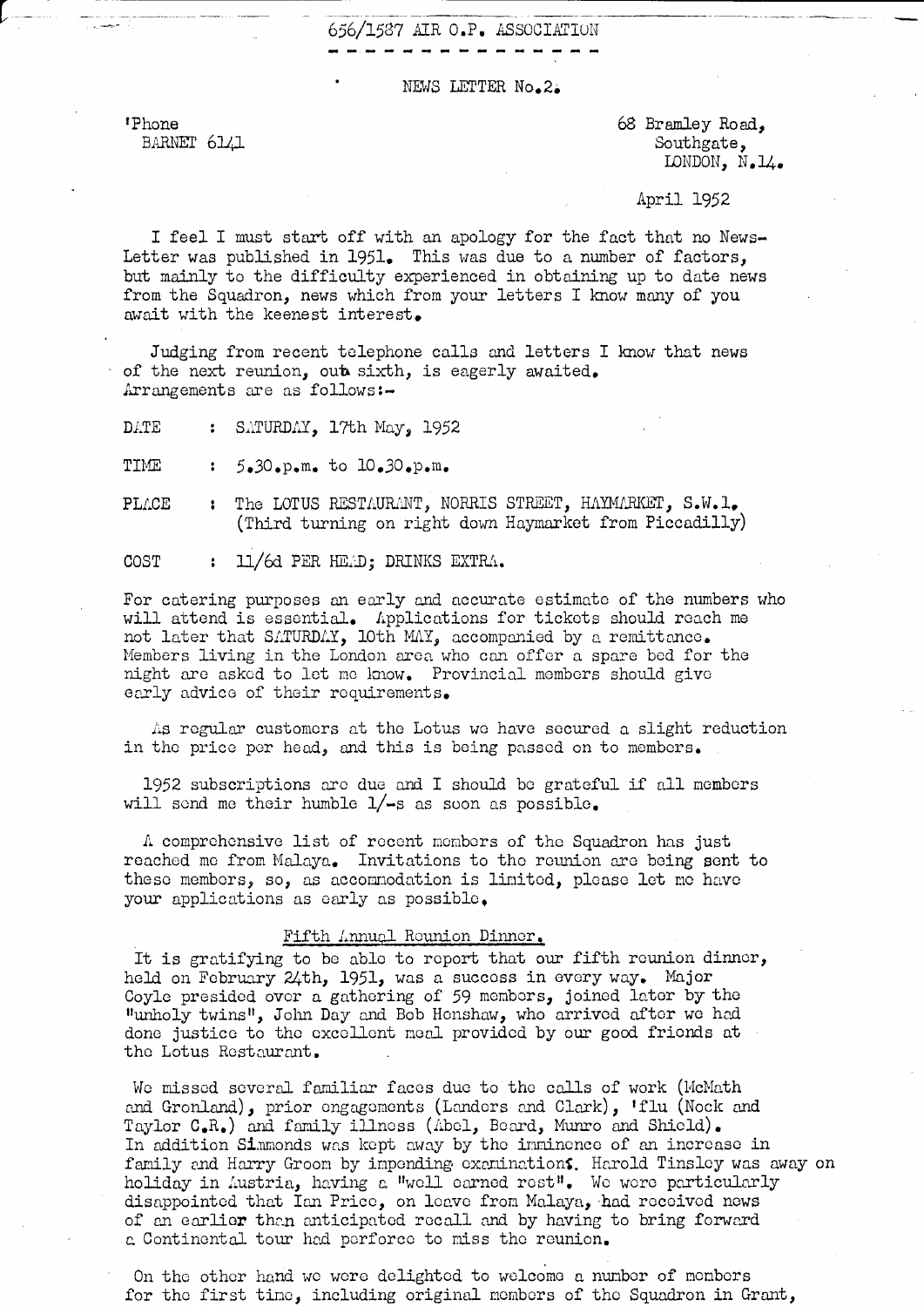## 656/1587 AIR O.P. ASSOCIATION

#### NEWS LETTER No.2.

'Phone BARNET 6141 68 Bramley Road, Southgate, LONDON, N.14.

### April 1952

I feel I must start off with an apology for the fact that no News-Letter was published in 1951. This was due to a number of factors, but mainly to the difficulty experienced in obtaining up to date news from the Squadron, news which from your letters I know many of you await with the keenest interest.

Judging from recent telephone calls and letters I know that news of the next reunion, out sixth, is eagerly avaited. Arrangements are as follows:-

DATE : SATURDAY, 17th May, 1952

TIME 5.30.p.m. to 10.30.p.m.  $\mathbf{z}$ 

: The LOTUS RESTAURANT, NORRIS STREET, HAYMARKET, S.W. 1. PLACE (Third turning on right down Haymarket from Piccadilly)

COST : 11/6d PER HEAD; DRINKS EXTRA.

For catering purposes an early and accurate estimate of the numbers who will attend is essential. Applications for tickets should reach me not later that SATURDAY, loth MAY, accompanied by a remittance. Members living in the London area who can offer a spare bed for the night are asked to let me know. Provincial members should give early advice of their requirements.

As regular customers at the Lotus we have secured a slight reduction in the price per head, and this is being passed on to members.

1952 subscriptions are due and I should be grateful if all members will send me their humble  $1/-s$  as soon as possible.

A comprehensive list of recent members of the Squadron has just reached me from Malaya. Invitations to the reunion are being sent to these members, so, as accommodation is limited, please let me have your applications as early as possible.

#### Fifth Annual Reunion Dinner.

It is gratifying to be able to report that our fifth reunion dinner, held on February 24th, 1951, was a success in every way. Major Coyle presided over a gathering of 59 members, joined later by the "unholy twins", John Day and Bob Honshaw, who arrived after we had done justice to the excellent meal provided by our good friends at the Lotus Restaurant.

We missed several familiar faces due to the calls of work (McMath and Gronland), prior engagements (Landers and Clark), 'flu (Nock and Taylor C.R.) and family illness (Abel, Beard, Munro and Shield). In addition Simmonds was kept away by the imminence of an increase in family and Harry Groom by impending examinations. Harold Tinsley was away on holiday in Austria, having a "well earned rest". We were particularly disappointed that Ian Price, on leave from Malaya, had received news of an earlier than anticipated recall and by having to bring forward a Continental tour had perforce to miss the reunion.

On the other hand we were delighted to welcome a number of mombers for the first time, including original members of the Squadron in Grant,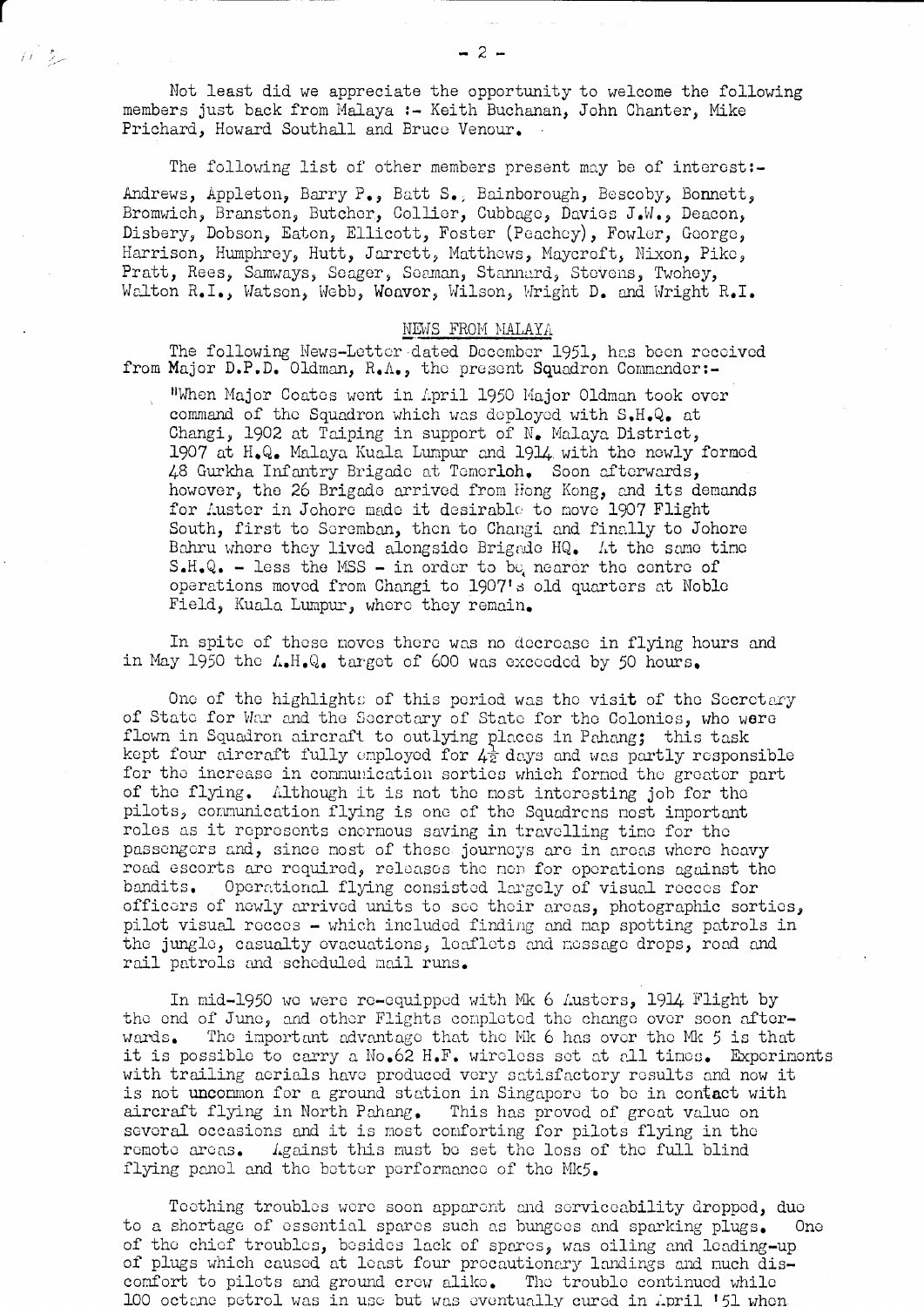Not least did we appreciate the opportunity to welcome the following members just back from Malaya :- Keith Buchanan, John Chanter, Mike Prichard, Howard Southall and Bruce Venour.

 $\mu^*\mathcal{Z}_\mathcal{P}$ 

The following list of other members present may be of interest:-Andrews, Appleton, Barry P., Batt S., Bainborough, Bescoby, Bonnett, Bromwich, Branston, Butcher, Collier, Cubbage, Davies J.W., Deacon, Disbery, Dobson, Eaton, Ellicott, Foster (Peachey), Fowler, George, Harrison, Humphrey, Hutt, Jarrett, Matthews, Maycroft, Nixon, Pike, Pratt, Rees, Samways, Seager, Seaman, Stannard, Stevens, Twohey, Walton R.I., Watson, Webb, Weaver, Wilson, Wright D. and Wright R.I.

#### NEWS FROM MALAYA

The following News-Letter dated December 1951, has been received from Major D.P.D. Oldman, R.A., the present Squadron Commander:-

"When Major Coates went in April 1950 Major Oldman took over command of the Squadron which was deployed with S.H.Q. at Changi, 1902 at Taiping in support of N. Malaya District, 1907 at H.Q. Malaya Kuala Lumpur and 1914 with the newly formed 48 Gurkha Infantry Brigado at Temerloh. Soon afterwards, however, the 26 Brigade arrived from Hong Kong, and its demands for Auster in Johore made it desirable to move 1907 Flight South, first to Seremban, then to Changi and finally to Johore Bahru where they lived alongside Brigade HQ. At the same time  $S-H-Q$ . - less the MSS - in order to be nearer the centre of operations moved from Changi to 1907's old quarters at Noble Field, Kuala Lumpur, where they remain.

In spite of these moves there was no decrease in flying hours and in May 1950 the A.H.Q. target of 600 was exceeded by 50 hours.

One of the highlights of this period was the visit of the Secretary of State for War and the Secretary of State for the Colonies, who were flown in Squadron aircraft to outlying places in Pahang; this task kept four aircraft fully employed for  $4\frac{1}{2}$  days and was partly responsible for the increase in communication sorties which formed the greator part of the flying. Although it is not the most interesting job for the pilots, communication flying is one of the Squadrens most important roles as it represents enermous saving in travelling time for the passengers and, since most of these journeys are in areas where heavy road escorts are required, releases the nen for operations against the Operational flying consisted largely of visual recees for bandits. officers of newly arrived units to see their areas, photographic sorties, pilot visual recees - which included finding and map spotting patrols in the jungle, casualty evacuations, leaflets and message drops, road and rail patrols and scheduled mail runs.

In mid-1950 we were re-equipped with Mk 6 Austers, 1914 Flight by the end of June, and other Flights completed the change over soon after-The important advantage that the Mk 6 has over the Mk 5 is that wards. it is possible to carry a No.62 H.F. wireless set at all times. Experiments with trailing aerials have produced very satisfactory results and now it is not uncommon for a ground station in Singapore to be in contact with aircraft flying in North Pahang. This has proved of great value on several occasions and it is most comforting for pilots flying in the remote areas. Against this must be set the loss of the full blind flying panel and the better performance of the Mk5.

Teething troubles were soon apparent and serviceability dropped, due to a shortage of essential spares such as bungees and sparking plugs. **One** of the chief troubles, besides lack of spares, was oiling and leading-up of plugs which caused at least four precautionary landings and nuch discomfort to pilots and ground crew alike. The trouble continued while 100 octane petrol was in use but was eventually cured in April '51 when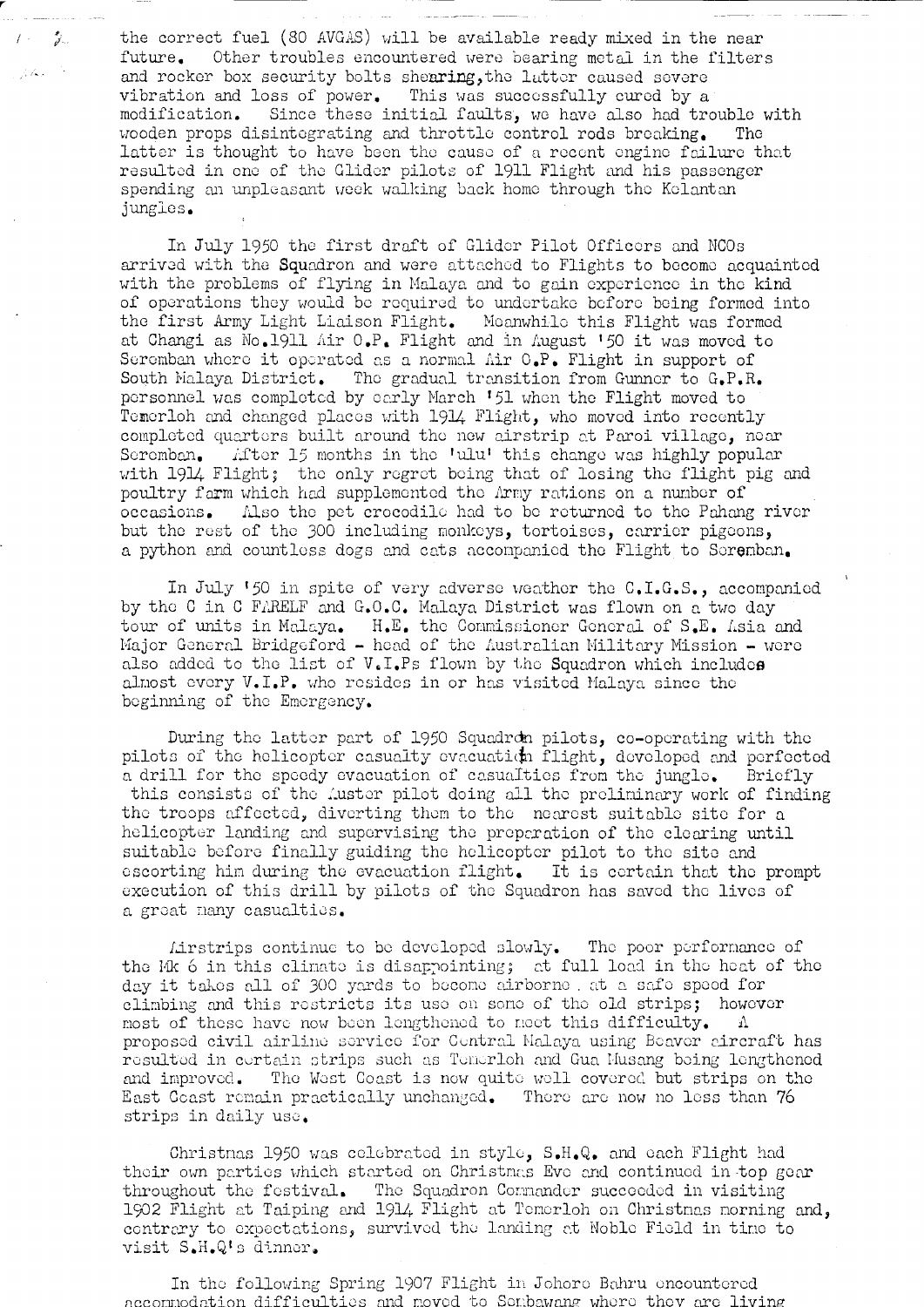the correct fuel (30 AVGAS) will be available ready mixed in the near future. Other troubles encountered were bearing metal in the filters and rocker box security bolts shearing, the latter caused severe vibration and loss of power. This was successfully cured by a modification. Since these initial faults, we have also had trouble with wooden props disintegrating and throttle control rods breaking. The latter is thought to have been the cause of a recent engine failure that resulted in one of the Glider pilots of 1911 Flight and his passenger spending an unpleasant week walking back home through the Kelantan jungles.

 $l \leq \frac{2}{d}$ 

 $\mu$  As  $\sim$   $^{\circ}$ 

In July 1950 the first draft of Glider Pilot Officers and NCOs arrived with the Squadron and were attached to Flights to become acquainted with the problems of flying in Malaya and to gain experience in the kind of operations they would be required to undertake before being formed into the first Army Light Liaison Flight. Moanwhile this Flight was formed<br>at Changi as No.1911 Air O.P. Flight and in August '50 it was moved to Seremban where it operated as a normal Air O.P. Flight in support of South Malaya District. The gradual transition from Gunner to G.P.R. personnel was completed by early March '51 when the Flight moved to Temerloh and changed places with 1914 Flight, who moved into recently completed quarters built around the new airstrip at Paroi village, near Seremban. After 15 months in the 'ulu' this change was highly popular with 1914 Flight; the only regret being that of losing the flight pig and poultry farm which had supplemented the Army rations on a number of occasions. Also the pet crocodile had to be returned to the Pahang river but the rest of the 300 including monkeys, tortoises, carrier pigeons, a python and countless dogs and cats accompanied the Flight to Seremban.

In July '50 in spite of very adverse weather the C.I.G.S., accompanied by the C in C FARELF and G.O.C. Malaya District was flown on a two day tour of units in Malaya. H.E. the Commissioner General of S.E. Asia and Major General Bridgeford - head of the Australian Military Mission - were also added to the list of V.I.Ps flown by the Squadron which includes almost every V.I.P. who resides in or has visited Malaya since the beginning of the Emergency.

During the latter part of 1950 Squadron pilots, co-operating with the pilots of the helicopter casualty evacuation flight, developed and perfected a drill for the speedy evacuation of casualties from the jungle. Briefly this consists of the Auster pilot doing all the preliminary work of finding the troops affected, diverting them to the nearest suitable site for a helicopter landing and supervising the preparation of the clearing until suitable before finally guiding the helicopter pilot to the site and escorting him during the evacuation flight. It is certain that the prompt execution of this drill by pilots of the Squadron has saved the lives of a great many casualties.

Lirstrips continue to be developed slowly. The poor performance of the Mk 6 in this climate is disappointing; at full load in the heat of the day it takes all of 300 yards to become airborne, at a safe speed for climbing and this restricts its use on some of the old strips; however most of these have now been lengthened to meet this difficulty.  $\Lambda$ proposed civil airline service for Central Malaya using Beaver aircraft has resulted in certain strips such as Temerloh and Gua Musang being lengthened and improved. The West Coast is now quite well covered but strips on the East Coast remain practically unchanged. There are now no less than 76 strips in daily use.

Christnas 1950 was celebrated in style, S.H.Q. and each Flight had their own parties which started on Christmas Eve and continued in top gear throughout the festival. The Squadron Commander succeeded in visiting 1902 Flight at Taiping and 1914 Flight at Temerloh on Christmas morning and, contrary to expectations, survived the landing at Noble Field in time to visit S.H.Q's dinner.

In the following Spring 1907 Flight in Johore Bahru encountered accompodation difficulties and moved to Sembawang where they are living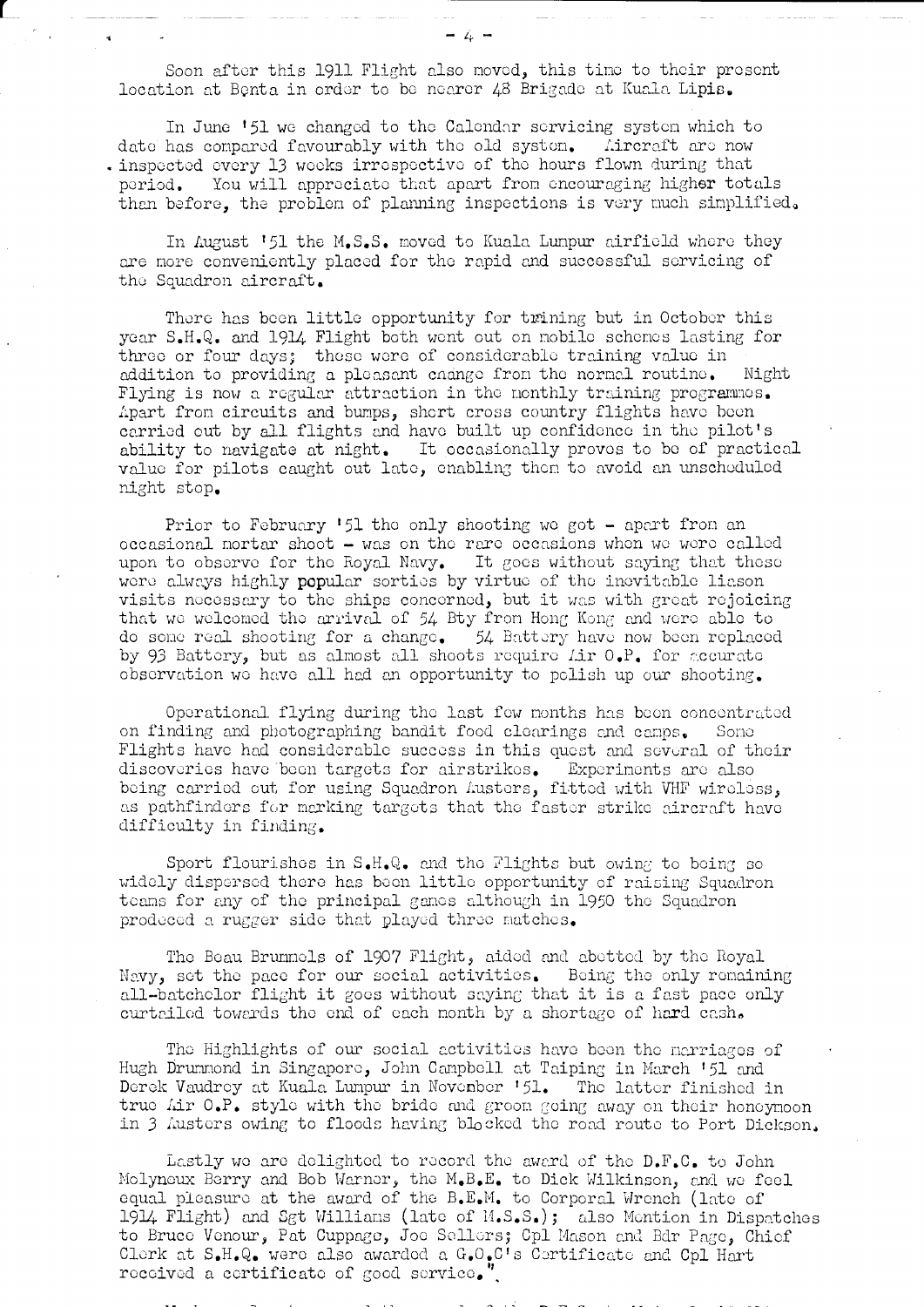Soon after this 1911 Flight also moved, this time to their prosent location at Benta in order to be nearer 48 Brigade at Kuala Lipis.

In June '51 we changed to the Calendar servicing system which to date has compared favourably with the old system. Aircraft are now . inspected every 13 wooks irrespective of the hours flown during that You will approciate that apart from encouraging higher totals period. than before, the problem of planning inspections is very much simplified.

In August '51 the M.S.S. moved to Kuala Lumpur airfield where they are more conveniently placed for the rapid and successful servicing of the Squadron aircraft.

There has been little opportunity for trining but in October this year S.H.Q. and 1914 Flight both went out on mobile schemes lasting for three or four days; these were of considerable training value in addition to providing a pleasant enange from the normal routine. Night Flying is now a regular attraction in the monthly training programmes. Apart from circuits and bumps, short cross country flights have been carried out by all flights and have built up confidence in the pilot's ability to navigate at night. It occasionally proves to be of practical value for pilots caught out late, enabling then to avoid an unscheduled night stop.

Prior to February '51 the only shooting we got - apart from an occasional mortar shoot - was on the rare occasions when we were called upon to observe for the Royal Navy. It goes without saying that these were always highly popular serties by virtue of the inevitable liason visits necessary to the ships concerned, but it was with great rejoicing that we welcomed the arrival of 54 Bty from Hong Kong and were able to do some real shooting for a change. 54 Battery have now been replaced by 93 Battery, but as almost all shoots require Lir 0.P. for accurate observation we have all had an opportunity to polish up our shooting.

Operational flying during the last few months has been concentrated on finding and photographing bandit food clearings and camps. Some Flights have had considerable success in this quest and several of their discoveries have been targets for airstrikes. Experiments are also being carried out for using Squadron Austers, fitted with VHF wireless, as pathfinders for merking targets that the faster strike aircraft have difficulty in finding.

Sport flourishes in S.H.Q. and the Flights but owing to being so widely dispersed there has been little opportunity of raising Squadron teams for any of the principal games although in 1950 the Squadron prodeced a rugger side that played three matches.

The Beau Brunmels of 1907 Flight, aided and abetted by the Royal Nevy, set the pace for our social activities. Being the only remaining all-batchelor flight it goes without saying that it is a fast pace only curtailed towards the end of each month by a shortage of hard cash.

The Highlights of our social activities have been the narriages of Hugh Drummond in Singapore, John Campbell at Taiping in March '51 and Derek Vaudrey at Kuala Lumpur in November '51. The latter finished in true Air O.P. style with the bride and groom going away on their honeymoon in 3 Austers owing to floods having blocked the road route to Port Dickson.

Lastly we are delighted to record the awerd of the D.F.C. to John Molyneux Berry and Bob Warner, the M.B.E. to Dick Wilkinson, and we feel equal pleasure at the award of the B.E.M. to Corporal Wrench (late of 1914 Flight) and Sgt Willians (late of M.S.S.); also Mention in Dispatches to Bruce Venour, Pat Cuppage, Joe Sellers; Cpl Mason and Bdr Page, Chief Clerk at S.H.Q. were also awarded a G.O.C's Certificate and Cpl Hart received a certificate of good service."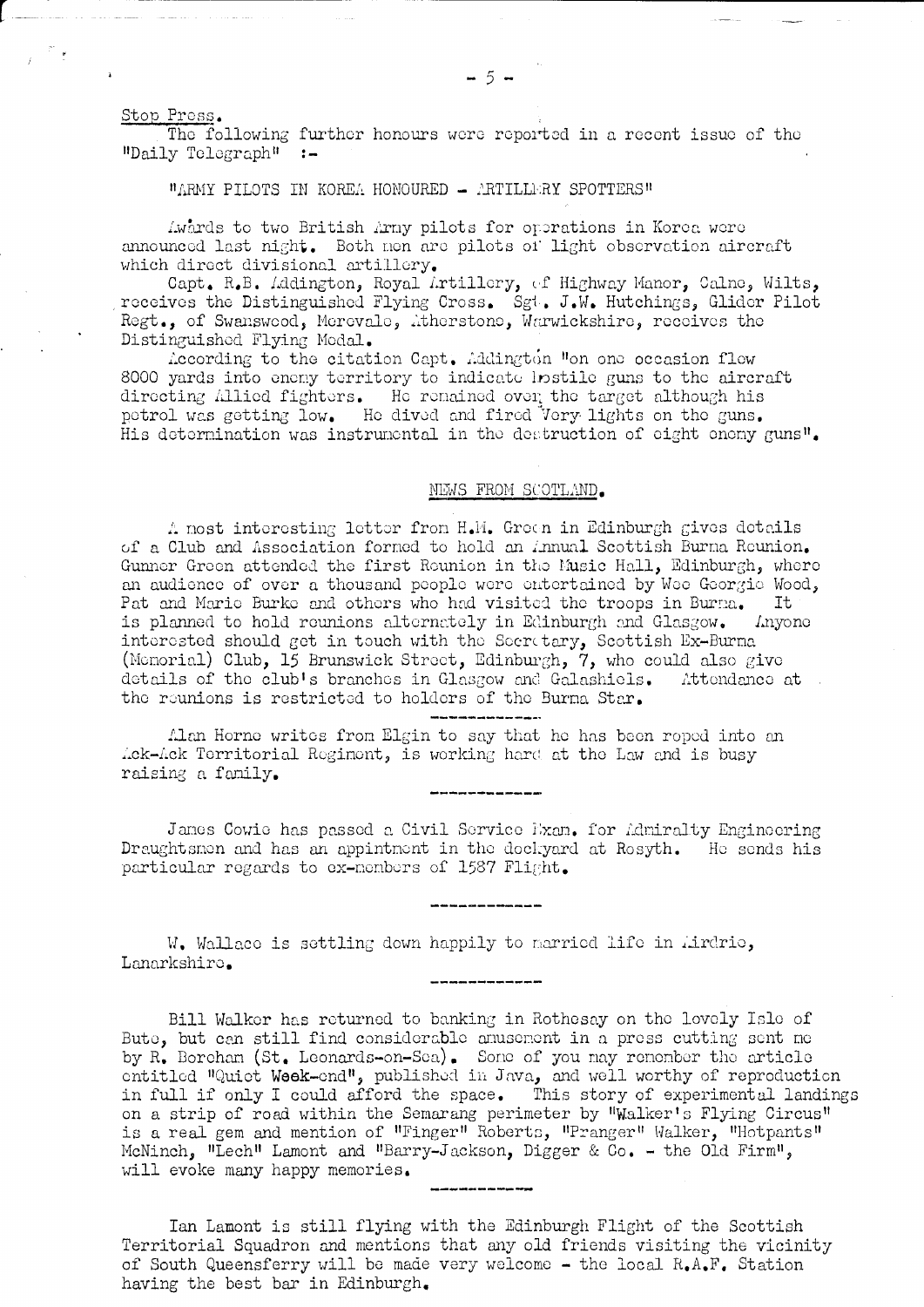Stop Press.

The following further honours were reported in a recent issue of the  $"Daily Telegraph"$ :

#### "ARMY PILOTS IN KOREA HONOURED - ARTILLERY SPOTTERS"

Awards to two British Arny pilots for operations in Korea were announced last night. Both non are pilots of light observation aircraft which direct divisional artillery.

Capt. R.B. Addington, Royal Artillery, of Highway Manor, Calne, Wilts, receives the Distinguished Flying Cross. Sgt. J.W. Hutchings, Glider Pilot Regt., of Swanswood, Merovale, Atherstone, Warwickshire, receives the Distinguished Flying Medal.

According to the citation Capt. Addington "on one occasion flew 8000 yards into eneny territory to indicate lostile guns to the aircraft directing Allied fighters. He remained over the target although his petrol was getting low. He dived and fired Very lights on the guns. His determination was instrumental in the destruction of eight enemy guns".

### NEWS FROM SCOTLAND.

A most interesting letter from H.M. Green in Edinburgh gives details of a Club and Association formed to hold an Annual Scottish Burna Reunion. Gunner Green attended the first Rounion in the Music Hall, Edinburgh, where an audience of over a thousand people were entertained by Wee Georgie Wood, Pat and Marie Burke and others who had visited the troops in Burna. It is planned to hold reunions alternately in Edinburgh and Glasgow. Anyone interested should get in touch with the Secretary, Scottish Ex-Burna (Monorial) Club, 15 Brunswick Street, Edinburgh, 7, who could also give details of the club's branches in Glasgow and Galashiels. Attendance at the reunions is restricted to holders of the Burna Star.

Alan Horne writes from Elgin to say that he has been roped into an Ack-Ack Territorial Regiment, is working hard at the Law and is busy raising a family.

James Cowie has passed a Civil Service Exam. for Admiralty Engineering Draughtsmen and has an appintment in the dockyard at Rosyth. He sends his particular regards to ex-members of 1587 Flight.

W. Wallaco is settling down happily to married life in Airdrie, Lanarkshiro.

Bill Walker has returned to banking in Rothesay on the lovely Isle of Bute, but can still find considerable anusement in a press cutting sent me by R. Borcham (St. Leonards-on-Sea). Some of you may remember the article entitled "Quiet Week-end", published in Java, and well worthy of reproduction in full if only I could afford the space. This story of experimental landings on a strip of road within the Semarang perimeter by "Walker's Flying Circus" is a real gem and mention of "Finger" Roberts, "Pranger" Walker, "Hotpants"<br>McNinch, "Lech" Lamont and "Barry-Jackson, Digger & Co. - the Old Firm", will evoke many happy memories.

Ian Lamont is still flying with the Edinburgh Flight of the Scottish Territorial Squadron and mentions that any old friends visiting the vicinity of South Queensferry will be made very welcome - the local  $R_{\bullet}A_{\bullet}F_{\bullet}$  Station having the best bar in Edinburgh.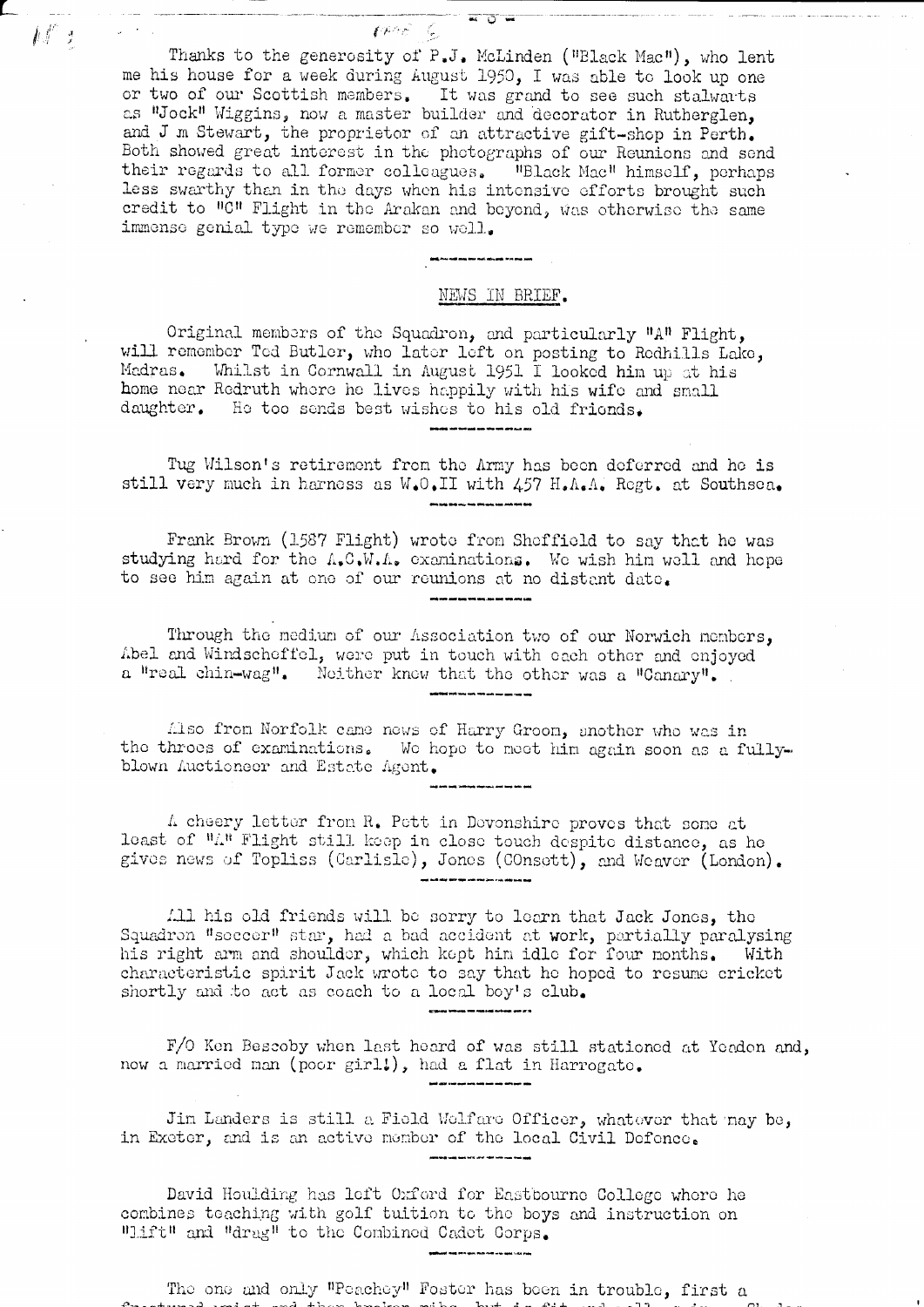Thanks to the generosity of P.J. McLinden ("Black Mac"), who lent me his house for a week during August 1950, I was able to look up one or two of our Scottish members. It was grand to see such stalwarts<br>as "Jock" Wiggins, now a master builder and decorator in Rutherglen, and J m Stewart, the proprietor of an attractive gift-shop in Perth. Both showed great interest in the photographs of our Reunions and send their regards to all former colleagues. "Black Mac" himself, perhaps less swarthy than in the days when his intensive efforts brought such credit to "C" Flight in the Arakan and beyond, was otherwise the same immense genial type we remember so well.

财产

# NEWS IN BRIEF.

Original members of the Squadron, and particularly "A" Flight, will remember Ted Butler, who later left on posting to Redhills Lake, Madras. Whilst in Cornwall in August 1951 I looked him up at his home near Redruth where he lives happily with his wife and small daughter. He too sends best wishes to his old friends.

Tug Wilson's retirement from the Army has been deferred and he is still very much in harness as W.O.II with 457 H.A.A. Regt. at Southsea.

Frank Brown (1587 Flight) wrote from Sheffield to say that he was studying hard for the A.C.W.A. examinations. We wish him well and hope to see him again at one of our reunions at no distent date.

Through the medium of our Association two of our Norwich members, Abel and Windscheffel, were put in touch with each other and enjoyed a "real chin-wag". Neither knew that the other was a "Canary".

Also from Norfolk came news of Harry Groon, another who was in the throes of examinations. We hope to meet him again soon as a fullyblown Auctioneer and Estate Agent.

A cheery letter from R. Pett in Devonshire proves that some at least of "A" Flight still keep in close touch despite distance, as he gives news of Topliss (Carlisle), Jones (COnsett), and Weaver (London).

All his old friends will be sorry to learn that Jack Jones, the Squadron "seccer" star, had a bad accident at work, partially paralysing his right arm and shoulder, which kept him idle for four months. With characteristic spirit Jack wrote to say that he hoped to resume cricket shortly and to act as coach to a local boy's club.

F/O Ken Bescoby when last heard of was still stationed at Yendon and, now a married man (poor girl!), had a flat in Harrogate.

Jin Landers is still a Field Welfare Officer, whatever that may be, in Exeter, and is an active member of the local Civil Defence.

David Houlding has left Oxford for Eastbourne College where he combines teaching with golf tuition to the boys and instruction on "Lift" and "drag" to the Combined Cadet Corps.

The one and only "Peachey" Foster has been in trouble, first a  $\pm$  2014  $\pm$  2015  $\pm$  2016  $\pm$  2016  $\pm$  2017  $\pm$  2017  $\pm$  2016  $\pm$  2017  $\pm$  2016  $\pm$  2017  $\pm$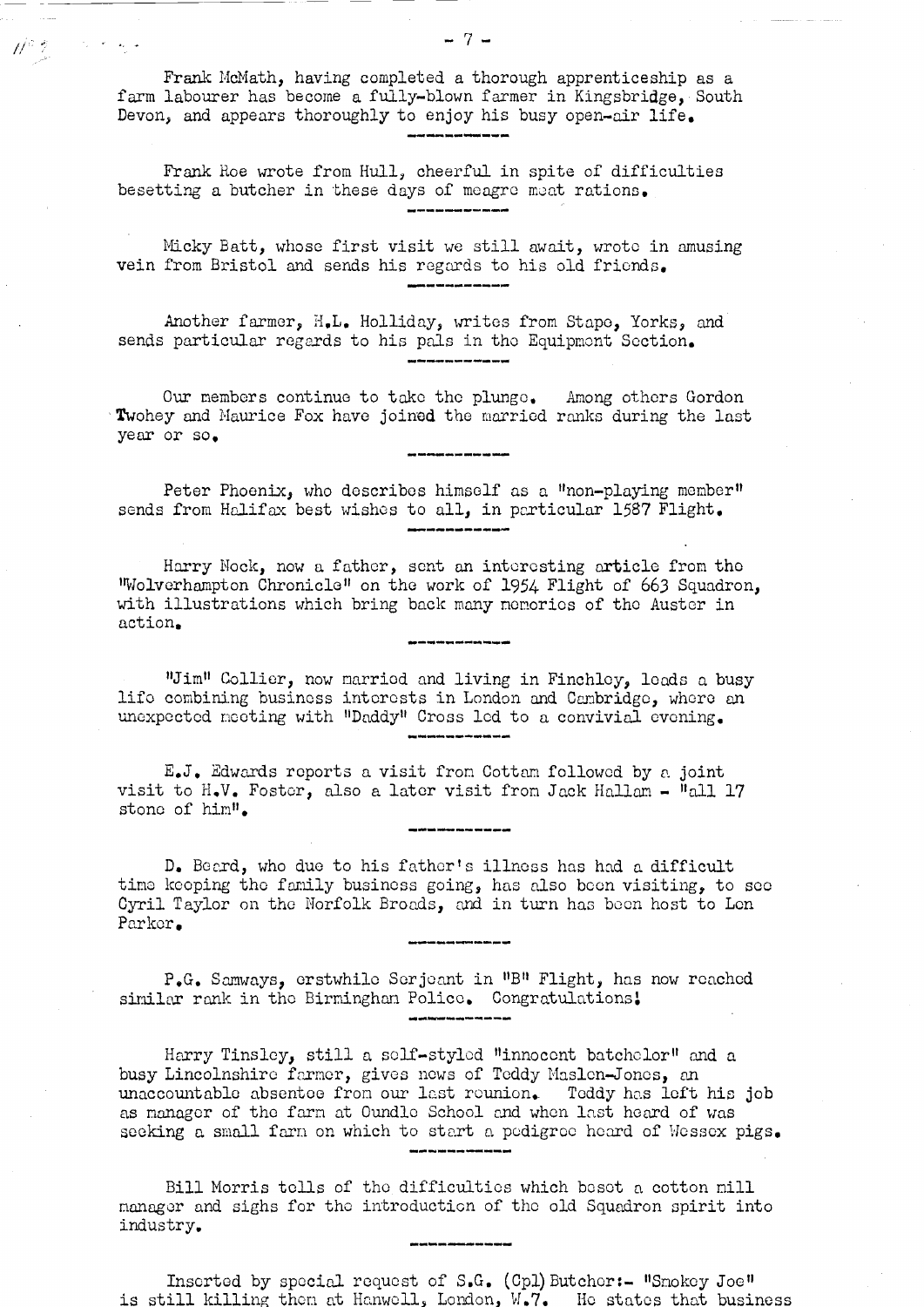Frank McMath, having completed a thorough apprenticeship as a farm labourer has become a fully-blown farmer in Kingsbridge, South Devon, and appears thoroughly to enjoy his busy open-air life.

 $\mathbb{N}^z$  ?

 $\mathcal{O}(\mathcal{O}_\mathbf{C}(\mathbf{r}))$  for  $\mathcal{O}(\mathbf{r})$ 

Frank Roe wrote from Hull, cheerful in spite of difficulties besetting a butcher in these days of meagre meat rations. 

Micky Batt, whose first visit we still await, wrote in amusing vein from Bristol and sends his regards to his old friends.

Another farmer, H.L. Holliday, writes from Stape, Yorks, and sends particular regards to his pals in the Equipment Section.

Our members continue to take the plunge. Among others Gordon Twohey and Maurice Fox have joined the married ranks during the last year or so.

pag his drivant on you and one up totalet

Peter Phoenix, who describes himself as a "non-playing member" sends from Halifax best wishes to all, in particular 1587 Flight.

Harry Nock, now a father, sent an interesting article from the Wolverhampton Chronicle" on the work of 1954 Flight of 663 Squadron, with illustrations which bring back many memories of the Auster in action.

"Jim" Collier, now married and living in Finchley, leads a busy life combining business interests in London and Cambridge, where an unexpected neeting with "Daddy" Cross 1ed to a convivial evening.

E.J. Edwards reports a visit from Cottam followed by a joint visit to H.V. Foster, also a later visit from Jack Hallam - "all 17 stone of him".

D. Beard, who due to his father's illness has had a difficult time keoping the family business going, has also been visiting, to see Cyril Taylor on the Norfolk Broads, and in turn has been host to Len Parker.

P.G. Samways, erstwhile Serjeant in "B" Flight, has now reached similar rank in the Birminghan Police. Congratulations!

Harry Tinsley, still a self-styled "innocent batchelor" and a busy Lincolnshire farmer, gives news of Teddy Maslen-Jones, an unaccountable absentee from our last reunion. Teddy has left his job as manager of the farm at Oundle School and when last heard of was seeking a small farm on which to start a pedigree heard of Wessex pigs.

Bill Morris tells of the difficulties which beset a cotton mill manager and sighs for the introduction of the old Squadron spirit into industry.

Inserted by special request of S.G. (Cpl) Butcher:- "Snokey Joe" is still killing them at Hanwell, London, W.7. He states that business